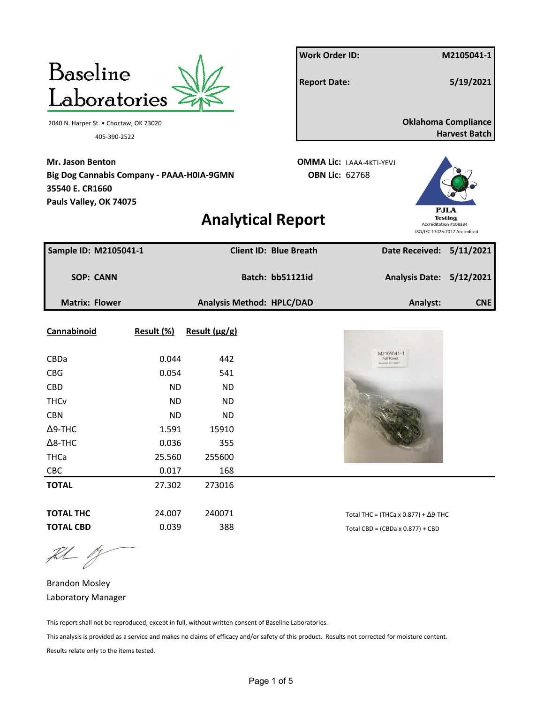| <b>Baseline</b>                                                                                                   |            |               |                                  | <b>Work Order ID:</b>                                    |                                                |                       | M2105041-1                                         |
|-------------------------------------------------------------------------------------------------------------------|------------|---------------|----------------------------------|----------------------------------------------------------|------------------------------------------------|-----------------------|----------------------------------------------------|
| Laboratories                                                                                                      |            |               |                                  | <b>Report Date:</b>                                      |                                                |                       | 5/19/2021                                          |
| 2040 N. Harper St. • Choctaw, OK 73020                                                                            |            |               |                                  |                                                          |                                                |                       | <b>Oklahoma Compliance</b><br><b>Harvest Batch</b> |
| 405-390-2522                                                                                                      |            |               |                                  |                                                          |                                                |                       |                                                    |
| <b>Mr. Jason Benton</b><br>Big Dog Cannabis Company - PAAA-H0IA-9GMN<br>35540 E. CR1660<br>Pauls Valley, OK 74075 |            |               |                                  | <b>OMMA Lic: LAAA-4KTI-YEVJ</b><br><b>OBN Lic: 62768</b> |                                                |                       | PJLA                                               |
|                                                                                                                   |            |               | <b>Analytical Report</b>         |                                                          |                                                | Accreditation #108334 | <b>Testing</b><br>ISO/IEC 17025:2017 Accredited    |
| Sample ID: M2105041-1                                                                                             |            |               | <b>Client ID: Blue Breath</b>    |                                                          |                                                |                       | Date Received: 5/11/2021                           |
| <b>SOP: CANN</b>                                                                                                  |            |               | Batch: bb51121id                 |                                                          |                                                | <b>Analysis Date:</b> | 5/12/2021                                          |
| <b>Matrix: Flower</b>                                                                                             |            |               | <b>Analysis Method: HPLC/DAD</b> |                                                          |                                                | Analyst:              | <b>CNE</b>                                         |
| Cannabinoid                                                                                                       | Result (%) | Result (µg/g) |                                  |                                                          |                                                |                       |                                                    |
| CBDa                                                                                                              | 0.044      | 442           |                                  |                                                          | M2105041-1<br>Full Panel                       |                       |                                                    |
| <b>CBG</b>                                                                                                        | 0.054      | 541           |                                  |                                                          |                                                |                       |                                                    |
| <b>CBD</b>                                                                                                        | <b>ND</b>  | <b>ND</b>     |                                  |                                                          |                                                |                       |                                                    |
| <b>THCv</b>                                                                                                       | <b>ND</b>  | <b>ND</b>     |                                  |                                                          |                                                |                       |                                                    |
| <b>CBN</b>                                                                                                        | <b>ND</b>  | <b>ND</b>     |                                  |                                                          |                                                |                       |                                                    |
| $\Delta$ 9-THC                                                                                                    | 1.591      | 15910         |                                  |                                                          |                                                |                       |                                                    |
| $\Delta$ 8-THC                                                                                                    | 0.036      | 355           |                                  |                                                          |                                                |                       |                                                    |
| <b>THCa</b>                                                                                                       | 25.560     | 255600        |                                  |                                                          |                                                |                       |                                                    |
| CBC                                                                                                               | 0.017      | 168           |                                  |                                                          |                                                |                       |                                                    |
| <b>TOTAL</b>                                                                                                      | 27.302     | 273016        |                                  |                                                          |                                                |                       |                                                    |
| <b>TOTAL THC</b>                                                                                                  | 24.007     | 240071        |                                  |                                                          | Total THC = (THCa x $0.877$ ) + $\Delta$ 9-THC |                       |                                                    |
| <b>TOTAL CBD</b>                                                                                                  | 0.039      | 388           |                                  |                                                          | Total CBD = $(CBDa \times 0.877) + CBD$        |                       |                                                    |

 $\begin{picture}(220,20) \put(0,0){\vector(1,0){10}} \put(15,0){\vector(1,0){10}} \put(15,0){\vector(1,0){10}} \put(15,0){\vector(1,0){10}} \put(15,0){\vector(1,0){10}} \put(15,0){\vector(1,0){10}} \put(15,0){\vector(1,0){10}} \put(15,0){\vector(1,0){10}} \put(15,0){\vector(1,0){10}} \put(15,0){\vector(1,0){10}} \put(15,0){\vector(1,0){10}} \put(15,0){\vector($ 

Brandon Mosley Laboratory Manager

This report shall not be reproduced, except in full, without written consent of Baseline Laboratories.

This analysis is provided as a service and makes no claims of efficacy and/or safety of this product. Results not corrected for moisture content.

Results relate only to the items tested.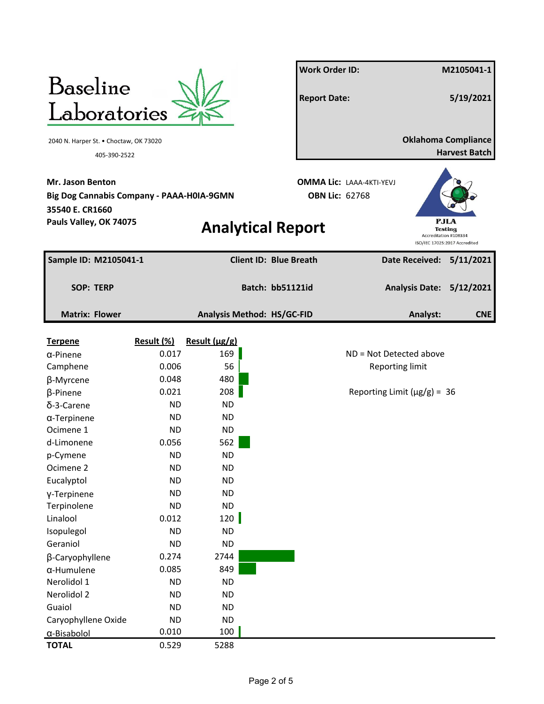|                                                                                         |                        |                            | <b>Work Order ID:</b>         |                                                          |                        | M2105041-1                                                     |
|-----------------------------------------------------------------------------------------|------------------------|----------------------------|-------------------------------|----------------------------------------------------------|------------------------|----------------------------------------------------------------|
| <b>Baseline</b>                                                                         |                        |                            | <b>Report Date:</b>           |                                                          |                        | 5/19/2021                                                      |
| Laboratories                                                                            |                        |                            |                               |                                                          |                        |                                                                |
| 2040 N. Harper St. • Choctaw, OK 73020<br>405-390-2522                                  |                        |                            |                               |                                                          |                        | <b>Oklahoma Compliance</b><br><b>Harvest Batch</b>             |
| <b>Mr. Jason Benton</b><br>Big Dog Cannabis Company - PAAA-H0IA-9GMN<br>35540 E. CR1660 |                        |                            |                               | <b>OMMA Lic: LAAA-4KTI-YEVJ</b><br><b>OBN Lic: 62768</b> |                        |                                                                |
| Pauls Valley, OK 74075                                                                  |                        | <b>Analytical Report</b>   |                               |                                                          | Accreditation #108334  | <b>PJLA</b><br><b>Testing</b><br>ISO/IEC 17025:2017 Accredited |
| Sample ID: M2105041-1                                                                   |                        |                            | <b>Client ID: Blue Breath</b> |                                                          |                        | Date Received: 5/11/2021                                       |
| <b>SOP: TERP</b>                                                                        |                        |                            | Batch: bb51121id              |                                                          |                        | Analysis Date: 5/12/2021                                       |
| <b>Matrix: Flower</b>                                                                   |                        | Analysis Method: HS/GC-FID |                               |                                                          | Analyst:               | <b>CNE</b>                                                     |
| <b>Terpene</b>                                                                          | Result (%)             | Result $(\mu g/g)$         |                               |                                                          |                        |                                                                |
| $\alpha$ -Pinene                                                                        | 0.017                  | 169                        |                               | ND = Not Detected above                                  |                        |                                                                |
| Camphene                                                                                | 0.006                  | 56                         |                               |                                                          | <b>Reporting limit</b> |                                                                |
| β-Myrcene                                                                               | 0.048                  | 480                        |                               |                                                          |                        |                                                                |
| β-Pinene                                                                                | 0.021                  | 208                        |                               | Reporting Limit ( $\mu$ g/g) = 36                        |                        |                                                                |
| δ-3-Carene                                                                              | <b>ND</b>              | <b>ND</b>                  |                               |                                                          |                        |                                                                |
| $\alpha$ -Terpinene                                                                     | <b>ND</b>              | <b>ND</b>                  |                               |                                                          |                        |                                                                |
| Ocimene 1                                                                               | <b>ND</b>              | <b>ND</b>                  |                               |                                                          |                        |                                                                |
| d-Limonene                                                                              | 0.056                  | 562                        |                               |                                                          |                        |                                                                |
| p-Cymene                                                                                | <b>ND</b>              | <b>ND</b>                  |                               |                                                          |                        |                                                                |
| Ocimene 2<br>Eucalyptol                                                                 | <b>ND</b><br><b>ND</b> | <b>ND</b><br><b>ND</b>     |                               |                                                          |                        |                                                                |
|                                                                                         | <b>ND</b>              | <b>ND</b>                  |                               |                                                          |                        |                                                                |
| Y-Terpinene<br>Terpinolene                                                              | <b>ND</b>              | <b>ND</b>                  |                               |                                                          |                        |                                                                |
| Linalool                                                                                | 0.012                  | 120                        |                               |                                                          |                        |                                                                |
| Isopulegol                                                                              | <b>ND</b>              | <b>ND</b>                  |                               |                                                          |                        |                                                                |
| Geraniol                                                                                | <b>ND</b>              | <b>ND</b>                  |                               |                                                          |                        |                                                                |
| β-Caryophyllene                                                                         | 0.274                  | 2744                       |                               |                                                          |                        |                                                                |
| $\alpha$ -Humulene                                                                      | 0.085                  | 849                        |                               |                                                          |                        |                                                                |
| Nerolidol 1                                                                             | <b>ND</b>              | <b>ND</b>                  |                               |                                                          |                        |                                                                |
| Nerolidol 2                                                                             | <b>ND</b>              | <b>ND</b>                  |                               |                                                          |                        |                                                                |
| Guaiol                                                                                  | <b>ND</b>              | <b>ND</b>                  |                               |                                                          |                        |                                                                |
| Caryophyllene Oxide                                                                     | <b>ND</b>              | <b>ND</b>                  |                               |                                                          |                        |                                                                |
| α-Bisabolol                                                                             | 0.010                  | 100                        |                               |                                                          |                        |                                                                |
| <b>TOTAL</b>                                                                            | 0.529                  | 5288                       |                               |                                                          |                        |                                                                |
|                                                                                         |                        |                            |                               |                                                          |                        |                                                                |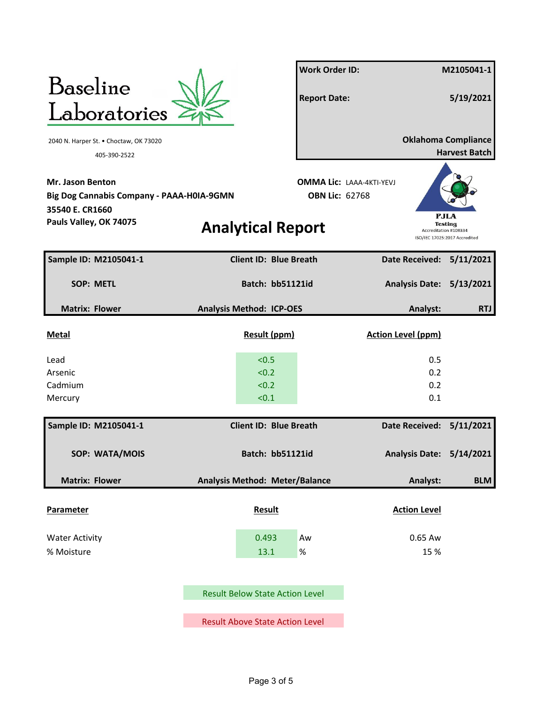|                                           |                                        | <b>Work Order ID:</b>           |                           | M2105041-1                                      |
|-------------------------------------------|----------------------------------------|---------------------------------|---------------------------|-------------------------------------------------|
| Baseline                                  |                                        |                                 |                           |                                                 |
| Laboratories                              |                                        | <b>Report Date:</b>             |                           | 5/19/2021                                       |
|                                           |                                        |                                 |                           |                                                 |
| 2040 N. Harper St. • Choctaw, OK 73020    |                                        |                                 |                           | <b>Oklahoma Compliance</b>                      |
| 405-390-2522                              |                                        |                                 |                           | <b>Harvest Batch</b>                            |
| <b>Mr. Jason Benton</b>                   |                                        | <b>OMMA Lic: LAAA-4KTI-YEVJ</b> |                           |                                                 |
| Big Dog Cannabis Company - PAAA-H0IA-9GMN |                                        | <b>OBN Lic: 62768</b>           |                           |                                                 |
| 35540 E. CR1660                           |                                        |                                 |                           | PJLA                                            |
| Pauls Valley, OK 74075                    | <b>Analytical Report</b>               |                                 | Accreditation #108334     | <b>Testing</b><br>ISO/IEC 17025:2017 Accredited |
|                                           |                                        |                                 |                           |                                                 |
| Sample ID: M2105041-1                     | <b>Client ID: Blue Breath</b>          |                                 | Date Received: 5/11/2021  |                                                 |
| <b>SOP: METL</b>                          | Batch: bb51121id                       |                                 | <b>Analysis Date:</b>     | 5/13/2021                                       |
| <b>Matrix: Flower</b>                     | <b>Analysis Method: ICP-OES</b>        |                                 | Analyst:                  | <b>RTJ</b>                                      |
|                                           |                                        |                                 |                           |                                                 |
| <b>Metal</b>                              | Result (ppm)                           |                                 | <b>Action Level (ppm)</b> |                                                 |
| Lead                                      | < 0.5                                  |                                 | 0.5                       |                                                 |
| Arsenic                                   | < 0.2                                  |                                 | 0.2                       |                                                 |
| Cadmium                                   | < 0.2                                  |                                 | 0.2                       |                                                 |
| Mercury                                   | < 0.1                                  |                                 | 0.1                       |                                                 |
| Sample ID: M2105041-1                     | <b>Client ID: Blue Breath</b>          |                                 | Date Received: 5/11/2021  |                                                 |
|                                           | Batch: bb51121id                       |                                 |                           |                                                 |
| SOP: WATA/MOIS                            |                                        |                                 | Analysis Date: 5/14/2021  |                                                 |
| <b>Matrix: Flower</b>                     | Analysis Method: Meter/Balance         |                                 | Analyst:                  | <b>BLM</b>                                      |
|                                           |                                        |                                 |                           |                                                 |
| <b>Parameter</b>                          | <b>Result</b>                          |                                 | <b>Action Level</b>       |                                                 |
| <b>Water Activity</b>                     | 0.493                                  | Aw                              | 0.65 Aw                   |                                                 |
| % Moisture                                | 13.1                                   | $\%$                            | 15 %                      |                                                 |
|                                           |                                        |                                 |                           |                                                 |
|                                           | <b>Result Below State Action Level</b> |                                 |                           |                                                 |
|                                           |                                        |                                 |                           |                                                 |
|                                           | <b>Result Above State Action Level</b> |                                 |                           |                                                 |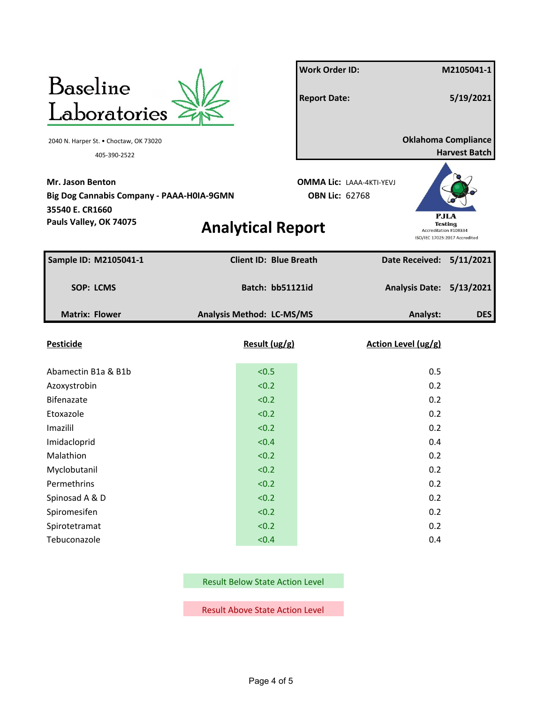

Result Below State Action Level

Result Above State Action Level